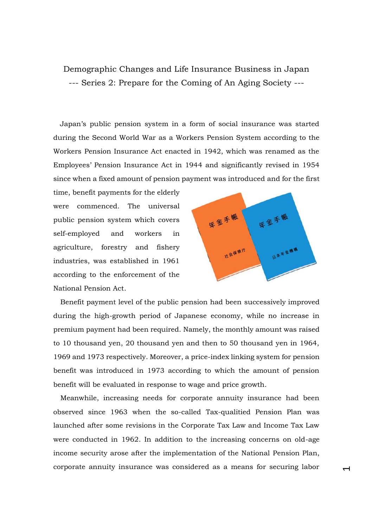## Demographic Changes and Life Insurance Business in Japan --- Series 2: Prepare for the Coming of An Aging Society ---

Japan's public pension system in a form of social insurance was started during the Second World War as a Workers Pension System according to the Workers Pension Insurance Act enacted in 1942, which was renamed as the Employees' Pension Insurance Act in 1944 and significantly revised in 1954 since when a fixed amount of pension payment was introduced and for the first

time, benefit payments for the elderly were commenced. The universal public pension system which covers self-employed and workers in agriculture, forestry and fishery industries, was established in 1961 according to the enforcement of the National Pension Act.



 $\overline{\phantom{0}}$ 

Benefit payment level of the public pension had been successively improved during the high-growth period of Japanese economy, while no increase in premium payment had been required. Namely, the monthly amount was raised to 10 thousand yen, 20 thousand yen and then to 50 thousand yen in 1964, 1969 and 1973 respectively. Moreover, a price-index linking system for pension benefit was introduced in 1973 according to which the amount of pension benefit will be evaluated in response to wage and price growth.

Meanwhile, increasing needs for corporate annuity insurance had been observed since 1963 when the so-called Tax-qualitied Pension Plan was launched after some revisions in the Corporate Tax Law and Income Tax Law were conducted in 1962. In addition to the increasing concerns on old-age income security arose after the implementation of the National Pension Plan, corporate annuity insurance was considered as a means for securing labor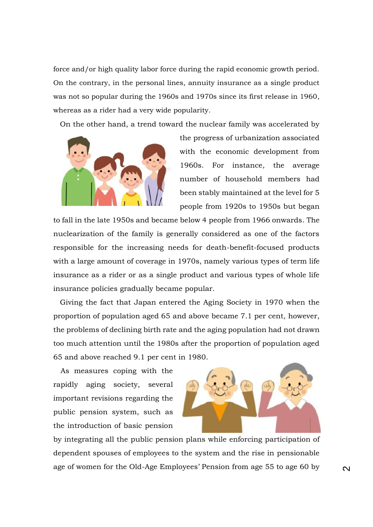force and/or high quality labor force during the rapid economic growth period. On the contrary, in the personal lines, annuity insurance as a single product was not so popular during the 1960s and 1970s since its first release in 1960, whereas as a rider had a very wide popularity.

On the other hand, a trend toward the nuclear family was accelerated by



the progress of urbanization associated with the economic development from 1960s. For instance, the average number of household members had been stably maintained at the level for 5 people from 1920s to 1950s but began

to fall in the late 1950s and became below 4 people from 1966 onwards. The nuclearization of the family is generally considered as one of the factors responsible for the increasing needs for death-benefit-focused products with a large amount of coverage in 1970s, namely various types of term life insurance as a rider or as a single product and various types of whole life insurance policies gradually became popular.

Giving the fact that Japan entered the Aging Society in 1970 when the proportion of population aged 65 and above became 7.1 per cent, however, the problems of declining birth rate and the aging population had not drawn too much attention until the 1980s after the proportion of population aged 65 and above reached 9.1 per cent in 1980.

As measures coping with the rapidly aging society, several important revisions regarding the public pension system, such as the introduction of basic pension



by integrating all the public pension plans while enforcing participation of dependent spouses of employees to the system and the rise in pensionable age of women for the Old-Age Employees' Pension from age 55 to age 60 by